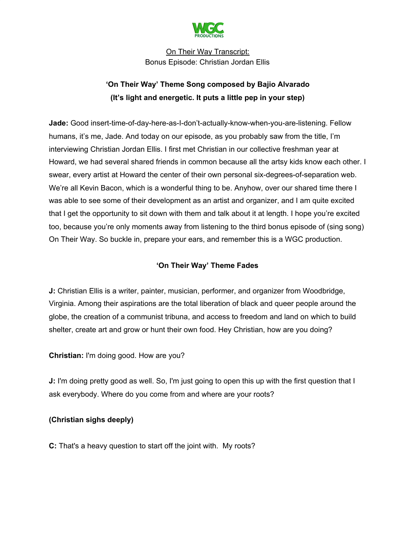

# **'On Their Way' Theme Song composed by Bajio Alvarado (It's light and energetic. It puts a little pep in your step)**

**Jade:** Good insert-time-of-day-here-as-I-don't-actually-know-when-you-are-listening. Fellow humans, it's me, Jade. And today on our episode, as you probably saw from the title, I'm interviewing Christian Jordan Ellis. I first met Christian in our collective freshman year at Howard, we had several shared friends in common because all the artsy kids know each other. I swear, every artist at Howard the center of their own personal six-degrees-of-separation web. We're all Kevin Bacon, which is a wonderful thing to be. Anyhow, over our shared time there I was able to see some of their development as an artist and organizer, and I am quite excited that I get the opportunity to sit down with them and talk about it at length. I hope you're excited too, because you're only moments away from listening to the third bonus episode of (sing song) On Their Way. So buckle in, prepare your ears, and remember this is a WGC production.

# **'On Their Way' Theme Fades**

**J:** Christian Ellis is a writer, painter, musician, performer, and organizer from Woodbridge, Virginia. Among their aspirations are the total liberation of black and queer people around the globe, the creation of a communist tribuna, and access to freedom and land on which to build shelter, create art and grow or hunt their own food. Hey Christian, how are you doing?

**Christian:** I'm doing good. How are you?

**J:** I'm doing pretty good as well. So, I'm just going to open this up with the first question that I ask everybody. Where do you come from and where are your roots?

### **(Christian sighs deeply)**

**C:** That's a heavy question to start off the joint with. My roots?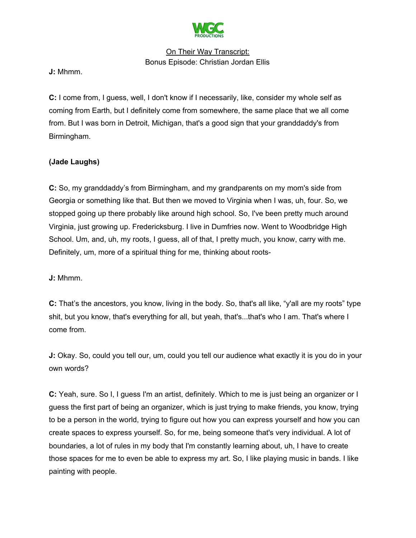

**J:** Mhmm.

**C:** I come from, I guess, well, I don't know if I necessarily, like, consider my whole self as coming from Earth, but I definitely come from somewhere, the same place that we all come from. But I was born in Detroit, Michigan, that's a good sign that your granddaddy's from Birmingham.

### **(Jade Laughs)**

**C:** So, my granddaddy's from Birmingham, and my grandparents on my mom's side from Georgia or something like that. But then we moved to Virginia when I was, uh, four. So, we stopped going up there probably like around high school. So, I've been pretty much around Virginia, just growing up. Fredericksburg. I live in Dumfries now. Went to Woodbridge High School. Um, and, uh, my roots, I guess, all of that, I pretty much, you know, carry with me. Definitely, um, more of a spiritual thing for me, thinking about roots-

**J:** Mhmm.

**C:** That's the ancestors, you know, living in the body. So, that's all like, "y'all are my roots" type shit, but you know, that's everything for all, but yeah, that's...that's who I am. That's where I come from.

**J:** Okay. So, could you tell our, um, could you tell our audience what exactly it is you do in your own words?

**C:** Yeah, sure. So I, I guess I'm an artist, definitely. Which to me is just being an organizer or I guess the first part of being an organizer, which is just trying to make friends, you know, trying to be a person in the world, trying to figure out how you can express yourself and how you can create spaces to express yourself. So, for me, being someone that's very individual. A lot of boundaries, a lot of rules in my body that I'm constantly learning about, uh, I have to create those spaces for me to even be able to express my art. So, I like playing music in bands. I like painting with people.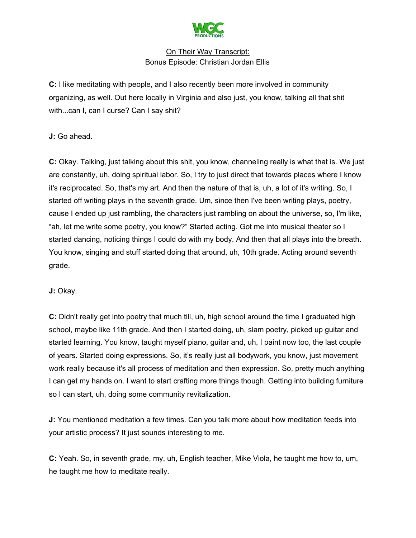

**C:** I like meditating with people, and I also recently been more involved in community organizing, as well. Out here locally in Virginia and also just, you know, talking all that shit with...can I, can I curse? Can I say shit?

**J:** Go ahead.

**C:** Okay. Talking, just talking about this shit, you know, channeling really is what that is. We just are constantly, uh, doing spiritual labor. So, I try to just direct that towards places where I know it's reciprocated. So, that's my art. And then the nature of that is, uh, a lot of it's writing. So, I started off writing plays in the seventh grade. Um, since then I've been writing plays, poetry, cause I ended up just rambling, the characters just rambling on about the universe, so, I'm like, "ah, let me write some poetry, you know?" Started acting. Got me into musical theater so I started dancing, noticing things I could do with my body. And then that all plays into the breath. You know, singing and stuff started doing that around, uh, 10th grade. Acting around seventh grade.

**J:** Okay.

**C:** Didn't really get into poetry that much till, uh, high school around the time I graduated high school, maybe like 11th grade. And then I started doing, uh, slam poetry, picked up guitar and started learning. You know, taught myself piano, guitar and, uh, I paint now too, the last couple of years. Started doing expressions. So, it's really just all bodywork, you know, just movement work really because it's all process of meditation and then expression. So, pretty much anything I can get my hands on. I want to start crafting more things though. Getting into building furniture so I can start, uh, doing some community revitalization.

**J:** You mentioned meditation a few times. Can you talk more about how meditation feeds into your artistic process? It just sounds interesting to me.

**C:** Yeah. So, in seventh grade, my, uh, English teacher, Mike Viola, he taught me how to, um, he taught me how to meditate really.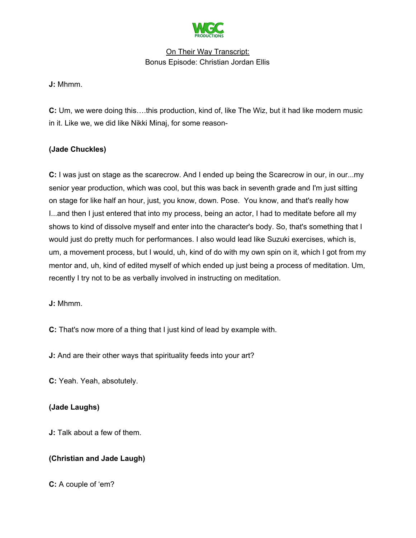

**J:** Mhmm.

**C:** Um, we were doing this….this production, kind of, like The Wiz, but it had like modern music in it. Like we, we did like Nikki Minaj, for some reason-

### **(Jade Chuckles)**

**C:** I was just on stage as the scarecrow. And I ended up being the Scarecrow in our, in our...my senior year production, which was cool, but this was back in seventh grade and I'm just sitting on stage for like half an hour, just, you know, down. Pose. You know, and that's really how I...and then I just entered that into my process, being an actor, I had to meditate before all my shows to kind of dissolve myself and enter into the character's body. So, that's something that I would just do pretty much for performances. I also would lead like Suzuki exercises, which is, um, a movement process, but I would, uh, kind of do with my own spin on it, which I got from my mentor and, uh, kind of edited myself of which ended up just being a process of meditation. Um, recently I try not to be as verbally involved in instructing on meditation.

**J:** Mhmm.

**C:** That's now more of a thing that I just kind of lead by example with.

**J:** And are their other ways that spirituality feeds into your art?

**C:** Yeah. Yeah, absotutely.

### **(Jade Laughs)**

**J:** Talk about a few of them.

### **(Christian and Jade Laugh)**

**C:** A couple of 'em?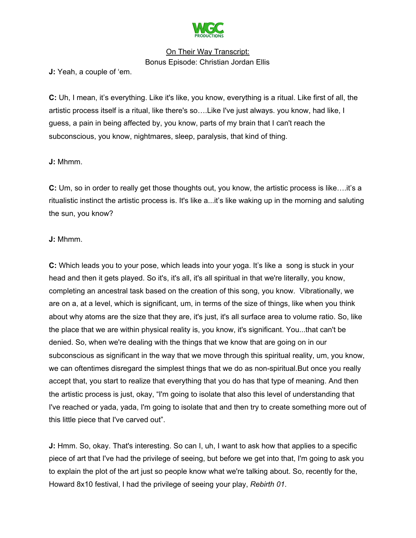

**J:** Yeah, a couple of 'em.

**C:** Uh, I mean, it's everything. Like it's like, you know, everything is a ritual. Like first of all, the artistic process itself is a ritual, like there's so….Like I've just always. you know, had like, I guess, a pain in being affected by, you know, parts of my brain that I can't reach the subconscious, you know, nightmares, sleep, paralysis, that kind of thing.

#### **J:** Mhmm.

**C:** Um, so in order to really get those thoughts out, you know, the artistic process is like….it's a ritualistic instinct the artistic process is. It's like a...it's like waking up in the morning and saluting the sun, you know?

#### **J:** Mhmm.

**C:** Which leads you to your pose, which leads into your yoga. It's like a song is stuck in your head and then it gets played. So it's, it's all, it's all spiritual in that we're literally, you know, completing an ancestral task based on the creation of this song, you know. Vibrationally, we are on a, at a level, which is significant, um, in terms of the size of things, like when you think about why atoms are the size that they are, it's just, it's all surface area to volume ratio. So, like the place that we are within physical reality is, you know, it's significant. You...that can't be denied. So, when we're dealing with the things that we know that are going on in our subconscious as significant in the way that we move through this spiritual reality, um, you know, we can oftentimes disregard the simplest things that we do as non-spiritual.But once you really accept that, you start to realize that everything that you do has that type of meaning. And then the artistic process is just, okay, "I'm going to isolate that also this level of understanding that I've reached or yada, yada, I'm going to isolate that and then try to create something more out of this little piece that I've carved out".

**J:** Hmm. So, okay. That's interesting. So can I, uh, I want to ask how that applies to a specific piece of art that I've had the privilege of seeing, but before we get into that, I'm going to ask you to explain the plot of the art just so people know what we're talking about. So, recently for the, Howard 8x10 festival, I had the privilege of seeing your play, *Rebirth 01*.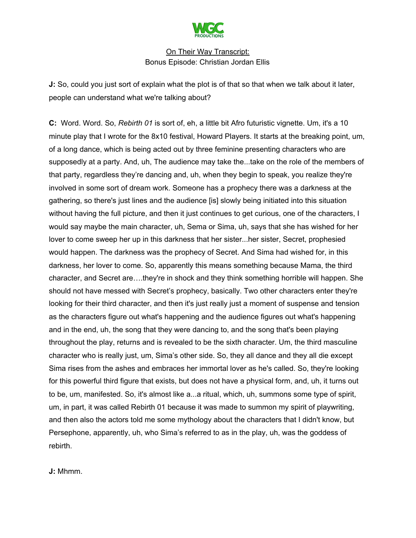

**J:** So, could you just sort of explain what the plot is of that so that when we talk about it later, people can understand what we're talking about?

**C:** Word. Word. So, *Rebirth 01* is sort of, eh, a little bit Afro futuristic vignette. Um, it's a 10 minute play that I wrote for the 8x10 festival, Howard Players. It starts at the breaking point, um, of a long dance, which is being acted out by three feminine presenting characters who are supposedly at a party. And, uh, The audience may take the...take on the role of the members of that party, regardless they're dancing and, uh, when they begin to speak, you realize they're involved in some sort of dream work. Someone has a prophecy there was a darkness at the gathering, so there's just lines and the audience [is] slowly being initiated into this situation without having the full picture, and then it just continues to get curious, one of the characters, I would say maybe the main character, uh, Sema or Sima, uh, says that she has wished for her lover to come sweep her up in this darkness that her sister...her sister, Secret, prophesied would happen. The darkness was the prophecy of Secret. And Sima had wished for, in this darkness, her lover to come. So, apparently this means something because Mama, the third character, and Secret are….they're in shock and they think something horrible will happen. She should not have messed with Secret's prophecy, basically. Two other characters enter they're looking for their third character, and then it's just really just a moment of suspense and tension as the characters figure out what's happening and the audience figures out what's happening and in the end, uh, the song that they were dancing to, and the song that's been playing throughout the play, returns and is revealed to be the sixth character. Um, the third masculine character who is really just, um, Sima's other side. So, they all dance and they all die except Sima rises from the ashes and embraces her immortal lover as he's called. So, they're looking for this powerful third figure that exists, but does not have a physical form, and, uh, it turns out to be, um, manifested. So, it's almost like a...a ritual, which, uh, summons some type of spirit, um, in part, it was called Rebirth 01 because it was made to summon my spirit of playwriting, and then also the actors told me some mythology about the characters that I didn't know, but Persephone, apparently, uh, who Sima's referred to as in the play, uh, was the goddess of rebirth.

**J:** Mhmm.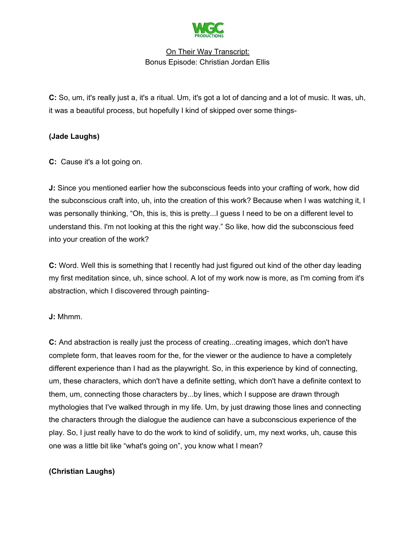

**C:** So, um, it's really just a, it's a ritual. Um, it's got a lot of dancing and a lot of music. It was, uh, it was a beautiful process, but hopefully I kind of skipped over some things-

# **(Jade Laughs)**

**C:** Cause it's a lot going on.

**J:** Since you mentioned earlier how the subconscious feeds into your crafting of work, how did the subconscious craft into, uh, into the creation of this work? Because when I was watching it, I was personally thinking, "Oh, this is, this is pretty...I guess I need to be on a different level to understand this. I'm not looking at this the right way." So like, how did the subconscious feed into your creation of the work?

**C:** Word. Well this is something that I recently had just figured out kind of the other day leading my first meditation since, uh, since school. A lot of my work now is more, as I'm coming from it's abstraction, which I discovered through painting-

### **J:** Mhmm.

**C:** And abstraction is really just the process of creating...creating images, which don't have complete form, that leaves room for the, for the viewer or the audience to have a completely different experience than I had as the playwright. So, in this experience by kind of connecting, um, these characters, which don't have a definite setting, which don't have a definite context to them, um, connecting those characters by...by lines, which I suppose are drawn through mythologies that I've walked through in my life. Um, by just drawing those lines and connecting the characters through the dialogue the audience can have a subconscious experience of the play. So, I just really have to do the work to kind of solidify, um, my next works, uh, cause this one was a little bit like "what's going on", you know what I mean?

### **(Christian Laughs)**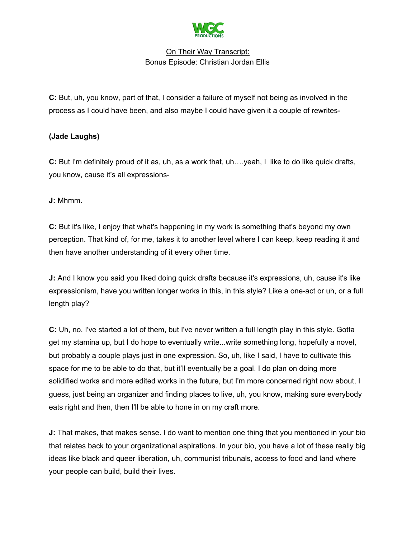

**C:** But, uh, you know, part of that, I consider a failure of myself not being as involved in the process as I could have been, and also maybe I could have given it a couple of rewrites-

### **(Jade Laughs)**

**C:** But I'm definitely proud of it as, uh, as a work that, uh….yeah, I like to do like quick drafts, you know, cause it's all expressions-

**J:** Mhmm.

**C:** But it's like, I enjoy that what's happening in my work is something that's beyond my own perception. That kind of, for me, takes it to another level where I can keep, keep reading it and then have another understanding of it every other time.

**J:** And I know you said you liked doing quick drafts because it's expressions, uh, cause it's like expressionism, have you written longer works in this, in this style? Like a one-act or uh, or a full length play?

**C:** Uh, no, I've started a lot of them, but I've never written a full length play in this style. Gotta get my stamina up, but I do hope to eventually write...write something long, hopefully a novel, but probably a couple plays just in one expression. So, uh, like I said, I have to cultivate this space for me to be able to do that, but it'll eventually be a goal. I do plan on doing more solidified works and more edited works in the future, but I'm more concerned right now about, I guess, just being an organizer and finding places to live, uh, you know, making sure everybody eats right and then, then I'll be able to hone in on my craft more.

**J:** That makes, that makes sense. I do want to mention one thing that you mentioned in your bio that relates back to your organizational aspirations. In your bio, you have a lot of these really big ideas like black and queer liberation, uh, communist tribunals, access to food and land where your people can build, build their lives.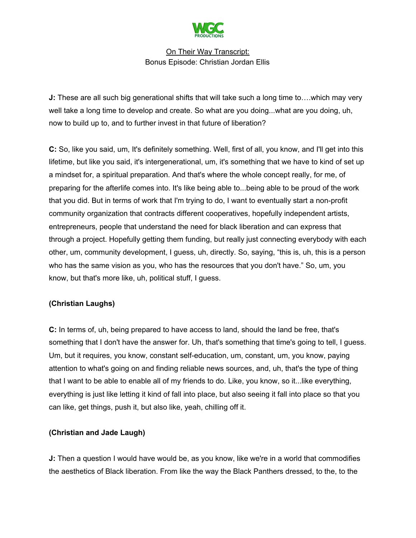

**J:** These are all such big generational shifts that will take such a long time to... which may very well take a long time to develop and create. So what are you doing...what are you doing, uh, now to build up to, and to further invest in that future of liberation?

**C:** So, like you said, um, It's definitely something. Well, first of all, you know, and I'll get into this lifetime, but like you said, it's intergenerational, um, it's something that we have to kind of set up a mindset for, a spiritual preparation. And that's where the whole concept really, for me, of preparing for the afterlife comes into. It's like being able to...being able to be proud of the work that you did. But in terms of work that I'm trying to do, I want to eventually start a non-profit community organization that contracts different cooperatives, hopefully independent artists, entrepreneurs, people that understand the need for black liberation and can express that through a project. Hopefully getting them funding, but really just connecting everybody with each other, um, community development, I guess, uh, directly. So, saying, "this is, uh, this is a person who has the same vision as you, who has the resources that you don't have." So, um, you know, but that's more like, uh, political stuff, I guess.

### **(Christian Laughs)**

**C:** In terms of, uh, being prepared to have access to land, should the land be free, that's something that I don't have the answer for. Uh, that's something that time's going to tell, I guess. Um, but it requires, you know, constant self-education, um, constant, um, you know, paying attention to what's going on and finding reliable news sources, and, uh, that's the type of thing that I want to be able to enable all of my friends to do. Like, you know, so it...like everything, everything is just like letting it kind of fall into place, but also seeing it fall into place so that you can like, get things, push it, but also like, yeah, chilling off it.

#### **(Christian and Jade Laugh)**

**J:** Then a question I would have would be, as you know, like we're in a world that commodifies the aesthetics of Black liberation. From like the way the Black Panthers dressed, to the, to the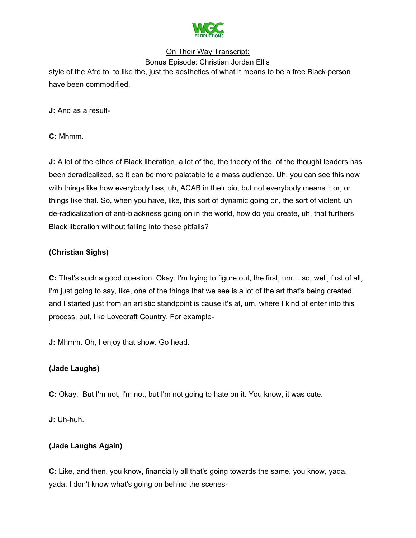

Bonus Episode: Christian Jordan Ellis style of the Afro to, to like the, just the aesthetics of what it means to be a free Black person have been commodified.

**J:** And as a result-

**C:** Mhmm.

**J:** A lot of the ethos of Black liberation, a lot of the, the theory of the, of the thought leaders has been deradicalized, so it can be more palatable to a mass audience. Uh, you can see this now with things like how everybody has, uh, ACAB in their bio, but not everybody means it or, or things like that. So, when you have, like, this sort of dynamic going on, the sort of violent, uh de-radicalization of anti-blackness going on in the world, how do you create, uh, that furthers Black liberation without falling into these pitfalls?

### **(Christian Sighs)**

**C:** That's such a good question. Okay. I'm trying to figure out, the first, um….so, well, first of all, I'm just going to say, like, one of the things that we see is a lot of the art that's being created, and I started just from an artistic standpoint is cause it's at, um, where I kind of enter into this process, but, like Lovecraft Country. For example-

**J:** Mhmm. Oh, I enjoy that show. Go head.

### **(Jade Laughs)**

**C:** Okay. But I'm not, I'm not, but I'm not going to hate on it. You know, it was cute.

**J:** Uh-huh.

### **(Jade Laughs Again)**

**C:** Like, and then, you know, financially all that's going towards the same, you know, yada, yada, I don't know what's going on behind the scenes-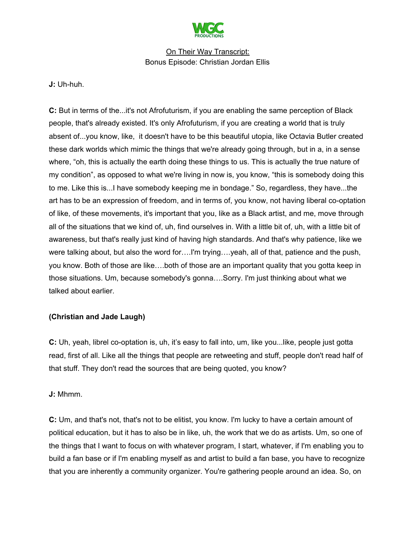

**J:** Uh-huh.

**C:** But in terms of the...it's not Afrofuturism, if you are enabling the same perception of Black people, that's already existed. It's only Afrofuturism, if you are creating a world that is truly absent of...you know, like, it doesn't have to be this beautiful utopia, like Octavia Butler created these dark worlds which mimic the things that we're already going through, but in a, in a sense where, "oh, this is actually the earth doing these things to us. This is actually the true nature of my condition", as opposed to what we're living in now is, you know, "this is somebody doing this to me. Like this is...I have somebody keeping me in bondage." So, regardless, they have...the art has to be an expression of freedom, and in terms of, you know, not having liberal co-optation of like, of these movements, it's important that you, like as a Black artist, and me, move through all of the situations that we kind of, uh, find ourselves in. With a little bit of, uh, with a little bit of awareness, but that's really just kind of having high standards. And that's why patience, like we were talking about, but also the word for….I'm trying….yeah, all of that, patience and the push, you know. Both of those are like….both of those are an important quality that you gotta keep in those situations. Um, because somebody's gonna….Sorry. I'm just thinking about what we talked about earlier.

#### **(Christian and Jade Laugh)**

**C:** Uh, yeah, librel co-optation is, uh, it's easy to fall into, um, like you...like, people just gotta read, first of all. Like all the things that people are retweeting and stuff, people don't read half of that stuff. They don't read the sources that are being quoted, you know?

#### **J:** Mhmm.

**C:** Um, and that's not, that's not to be elitist, you know. I'm lucky to have a certain amount of political education, but it has to also be in like, uh, the work that we do as artists. Um, so one of the things that I want to focus on with whatever program, I start, whatever, if I'm enabling you to build a fan base or if I'm enabling myself as and artist to build a fan base, you have to recognize that you are inherently a community organizer. You're gathering people around an idea. So, on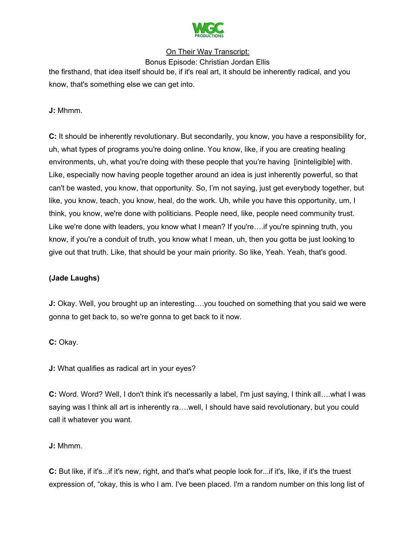

Bonus Episode: Christian Jordan Ellis the firsthand, that idea itself should be, if it's real art, it should be inherently radical, and you know, that's something else we can get into.

**J:** Mhmm.

**C:** It should be inherently revolutionary. But secondarily, you know, you have a responsibility for, uh, what types of programs you're doing online. You know, like, if you are creating healing environments, uh, what you're doing with these people that you're having [ininteligible] with. Like, especially now having people together around an idea is just inherently powerful, so that can't be wasted, you know, that opportunity. So, I'm not saying, just get everybody together, but like, you know, teach, you know, heal, do the work. Uh, while you have this opportunity, um, I think, you know, we're done with politicians. People need, like, people need community trust. Like we're done with leaders, you know what I mean? If you're….if you're spinning truth, you know, if you're a conduit of truth, you know what I mean, uh, then you gotta be just looking to give out that truth. Like, that should be your main priority. So like, Yeah. Yeah, that's good.

### **(Jade Laughs)**

**J:** Okay. Well, you brought up an interesting….you touched on something that you said we were gonna to get back to, so we're gonna to get back to it now.

**C:** Okay.

**J:** What qualifies as radical art in your eyes?

**C:** Word. Word? Well, I don't think it's necessarily a label, I'm just saying, I think all….what I was saying was I think all art is inherently ra...well, I should have said revolutionary, but you could call it whatever you want.

**J:** Mhmm.

**C:** But like, if it's...if it's new, right, and that's what people look for...if it's, like, if it's the truest expression of, "okay, this is who I am. I've been placed. I'm a random number on this long list of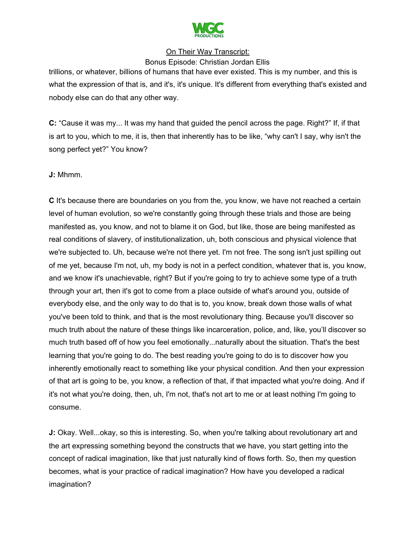

Bonus Episode: Christian Jordan Ellis

trillions, or whatever, billions of humans that have ever existed. This is my number, and this is what the expression of that is, and it's, it's unique. It's different from everything that's existed and nobody else can do that any other way.

**C:** "Cause it was my... It was my hand that guided the pencil across the page. Right?" If, if that is art to you, which to me, it is, then that inherently has to be like, "why can't I say, why isn't the song perfect yet?" You know?

**J:** Mhmm.

**C** It's because there are boundaries on you from the, you know, we have not reached a certain level of human evolution, so we're constantly going through these trials and those are being manifested as, you know, and not to blame it on God, but like, those are being manifested as real conditions of slavery, of institutionalization, uh, both conscious and physical violence that we're subjected to. Uh, because we're not there yet. I'm not free. The song isn't just spilling out of me yet, because I'm not, uh, my body is not in a perfect condition, whatever that is, you know, and we know it's unachievable, right? But if you're going to try to achieve some type of a truth through your art, then it's got to come from a place outside of what's around you, outside of everybody else, and the only way to do that is to, you know, break down those walls of what you've been told to think, and that is the most revolutionary thing. Because you'll discover so much truth about the nature of these things like incarceration, police, and, like, you'll discover so much truth based off of how you feel emotionally...naturally about the situation. That's the best learning that you're going to do. The best reading you're going to do is to discover how you inherently emotionally react to something like your physical condition. And then your expression of that art is going to be, you know, a reflection of that, if that impacted what you're doing. And if it's not what you're doing, then, uh, I'm not, that's not art to me or at least nothing I'm going to consume.

**J:** Okay. Well...okay, so this is interesting. So, when you're talking about revolutionary art and the art expressing something beyond the constructs that we have, you start getting into the concept of radical imagination, like that just naturally kind of flows forth. So, then my question becomes, what is your practice of radical imagination? How have you developed a radical imagination?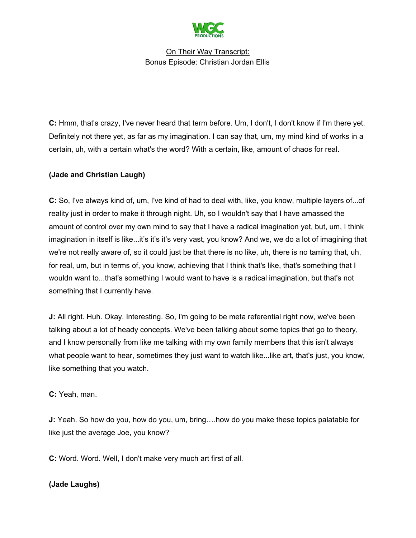

**C:** Hmm, that's crazy, I've never heard that term before. Um, I don't, I don't know if I'm there yet. Definitely not there yet, as far as my imagination. I can say that, um, my mind kind of works in a certain, uh, with a certain what's the word? With a certain, like, amount of chaos for real.

### **(Jade and Christian Laugh)**

**C:** So, I've always kind of, um, I've kind of had to deal with, like, you know, multiple layers of...of reality just in order to make it through night. Uh, so I wouldn't say that I have amassed the amount of control over my own mind to say that I have a radical imagination yet, but, um, I think imagination in itself is like...it's it's it's very vast, you know? And we, we do a lot of imagining that we're not really aware of, so it could just be that there is no like, uh, there is no taming that, uh, for real, um, but in terms of, you know, achieving that I think that's like, that's something that I wouldn want to...that's something I would want to have is a radical imagination, but that's not something that I currently have.

**J:** All right. Huh. Okay. Interesting. So, I'm going to be meta referential right now, we've been talking about a lot of heady concepts. We've been talking about some topics that go to theory, and I know personally from like me talking with my own family members that this isn't always what people want to hear, sometimes they just want to watch like...like art, that's just, you know, like something that you watch.

**C:** Yeah, man.

**J:** Yeah. So how do you, how do you, um, bring….how do you make these topics palatable for like just the average Joe, you know?

**C:** Word. Word. Well, I don't make very much art first of all.

### **(Jade Laughs)**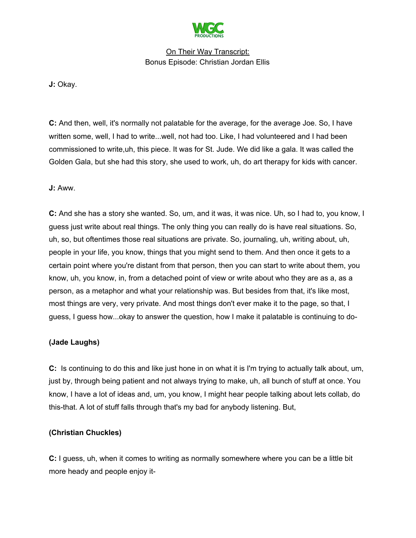

**J:** Okay.

**C:** And then, well, it's normally not palatable for the average, for the average Joe. So, I have written some, well, I had to write...well, not had too. Like, I had volunteered and I had been commissioned to write,uh, this piece. It was for St. Jude. We did like a gala. It was called the Golden Gala, but she had this story, she used to work, uh, do art therapy for kids with cancer.

#### **J:** Aww.

**C:** And she has a story she wanted. So, um, and it was, it was nice. Uh, so I had to, you know, I guess just write about real things. The only thing you can really do is have real situations. So, uh, so, but oftentimes those real situations are private. So, journaling, uh, writing about, uh, people in your life, you know, things that you might send to them. And then once it gets to a certain point where you're distant from that person, then you can start to write about them, you know, uh, you know, in, from a detached point of view or write about who they are as a, as a person, as a metaphor and what your relationship was. But besides from that, it's like most, most things are very, very private. And most things don't ever make it to the page, so that, I guess, I guess how...okay to answer the question, how I make it palatable is continuing to do-

#### **(Jade Laughs)**

**C:** Is continuing to do this and like just hone in on what it is I'm trying to actually talk about, um, just by, through being patient and not always trying to make, uh, all bunch of stuff at once. You know, I have a lot of ideas and, um, you know, I might hear people talking about lets collab, do this-that. A lot of stuff falls through that's my bad for anybody listening. But,

#### **(Christian Chuckles)**

**C:** I guess, uh, when it comes to writing as normally somewhere where you can be a little bit more heady and people enjoy it-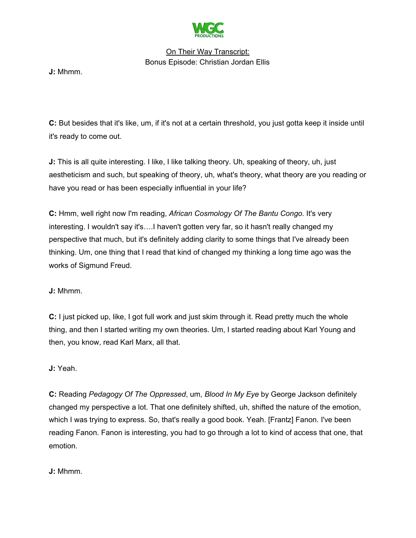

**J:** Mhmm.

**C:** But besides that it's like, um, if it's not at a certain threshold, you just gotta keep it inside until it's ready to come out.

**J:** This is all quite interesting. I like, I like talking theory. Uh, speaking of theory, uh, just aestheticism and such, but speaking of theory, uh, what's theory, what theory are you reading or have you read or has been especially influential in your life?

**C:** Hmm, well right now I'm reading, *African Cosmology Of The Bantu Congo*. It's very interesting. I wouldn't say it's….I haven't gotten very far, so it hasn't really changed my perspective that much, but it's definitely adding clarity to some things that I've already been thinking. Um, one thing that I read that kind of changed my thinking a long time ago was the works of Sigmund Freud.

### **J:** Mhmm.

**C:** I just picked up, like, I got full work and just skim through it. Read pretty much the whole thing, and then I started writing my own theories. Um, I started reading about Karl Young and then, you know, read Karl Marx, all that.

#### **J:** Yeah.

**C:** Reading *Pedagogy Of The Oppressed*, um, *Blood In My Eye* by George Jackson definitely changed my perspective a lot. That one definitely shifted, uh, shifted the nature of the emotion, which I was trying to express. So, that's really a good book. Yeah. [Frantz] Fanon. I've been reading Fanon. Fanon is interesting, you had to go through a lot to kind of access that one, that emotion.

**J:** Mhmm.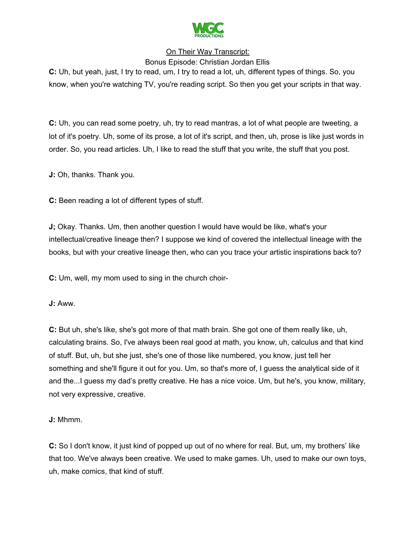

Bonus Episode: Christian Jordan Ellis **C:** Uh, but yeah, just, I try to read, um, I try to read a lot, uh, different types of things. So, you know, when you're watching TV, you're reading script. So then you get your scripts in that way.

**C:** Uh, you can read some poetry, uh, try to read mantras, a lot of what people are tweeting, a lot of it's poetry. Uh, some of its prose, a lot of it's script, and then, uh, prose is like just words in order. So, you read articles. Uh, I like to read the stuff that you write, the stuff that you post.

**J:** Oh, thanks. Thank you.

**C:** Been reading a lot of different types of stuff.

**J;** Okay. Thanks. Um, then another question I would have would be like, what's your intellectual/creative lineage then? I suppose we kind of covered the intellectual lineage with the books, but with your creative lineage then, who can you trace your artistic inspirations back to?

**C:** Um, well, my mom used to sing in the church choir-

**J:** Aww.

**C:** But uh, she's like, she's got more of that math brain. She got one of them really like, uh, calculating brains. So, I've always been real good at math, you know, uh, calculus and that kind of stuff. But, uh, but she just, she's one of those like numbered, you know, just tell her something and she'll figure it out for you. Um, so that's more of, I guess the analytical side of it and the...I guess my dad's pretty creative. He has a nice voice. Um, but he's, you know, military, not very expressive, creative.

**J:** Mhmm.

**C:** So I don't know, it just kind of popped up out of no where for real. But, um, my brothers' like that too. We've always been creative. We used to make games. Uh, used to make our own toys, uh, make comics, that kind of stuff.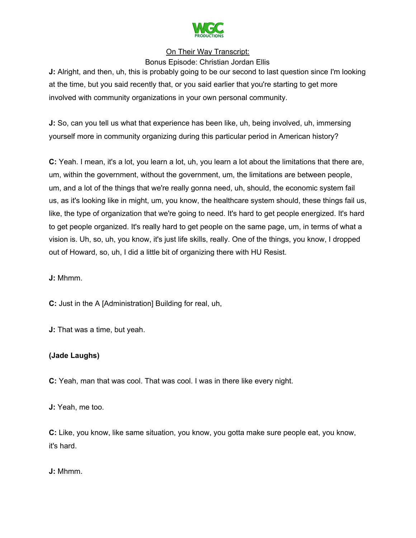

Bonus Episode: Christian Jordan Ellis

**J:** Alright, and then, uh, this is probably going to be our second to last question since I'm looking at the time, but you said recently that, or you said earlier that you're starting to get more involved with community organizations in your own personal community.

**J:** So, can you tell us what that experience has been like, uh, being involved, uh, immersing yourself more in community organizing during this particular period in American history?

**C:** Yeah. I mean, it's a lot, you learn a lot, uh, you learn a lot about the limitations that there are, um, within the government, without the government, um, the limitations are between people, um, and a lot of the things that we're really gonna need, uh, should, the economic system fail us, as it's looking like in might, um, you know, the healthcare system should, these things fail us, like, the type of organization that we're going to need. It's hard to get people energized. It's hard to get people organized. It's really hard to get people on the same page, um, in terms of what a vision is. Uh, so, uh, you know, it's just life skills, really. One of the things, you know, I dropped out of Howard, so, uh, I did a little bit of organizing there with HU Resist.

**J:** Mhmm.

**C:** Just in the A [Administration] Building for real, uh,

**J:** That was a time, but yeah.

# **(Jade Laughs)**

**C:** Yeah, man that was cool. That was cool. I was in there like every night.

**J:** Yeah, me too.

**C:** Like, you know, like same situation, you know, you gotta make sure people eat, you know, it's hard.

**J:** Mhmm.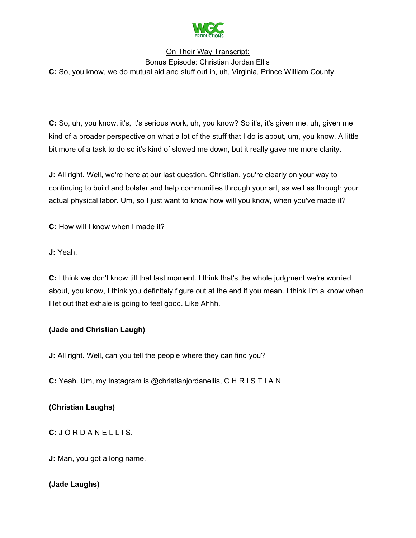

Bonus Episode: Christian Jordan Ellis **C:** So, you know, we do mutual aid and stuff out in, uh, Virginia, Prince William County.

**C:** So, uh, you know, it's, it's serious work, uh, you know? So it's, it's given me, uh, given me kind of a broader perspective on what a lot of the stuff that I do is about, um, you know. A little bit more of a task to do so it's kind of slowed me down, but it really gave me more clarity.

**J:** All right. Well, we're here at our last question. Christian, you're clearly on your way to continuing to build and bolster and help communities through your art, as well as through your actual physical labor. Um, so I just want to know how will you know, when you've made it?

**C:** How will I know when I made it?

**J:** Yeah.

**C:** I think we don't know till that last moment. I think that's the whole judgment we're worried about, you know, I think you definitely figure out at the end if you mean. I think I'm a know when I let out that exhale is going to feel good. Like Ahhh.

# **(Jade and Christian Laugh)**

**J:** All right. Well, can you tell the people where they can find you?

**C:** Yeah. Um, my Instagram is @christianjordanellis, C H R I S T I A N

# **(Christian Laughs)**

**C:** J O R D A N E L L I S.

**J:** Man, you got a long name.

### **(Jade Laughs)**